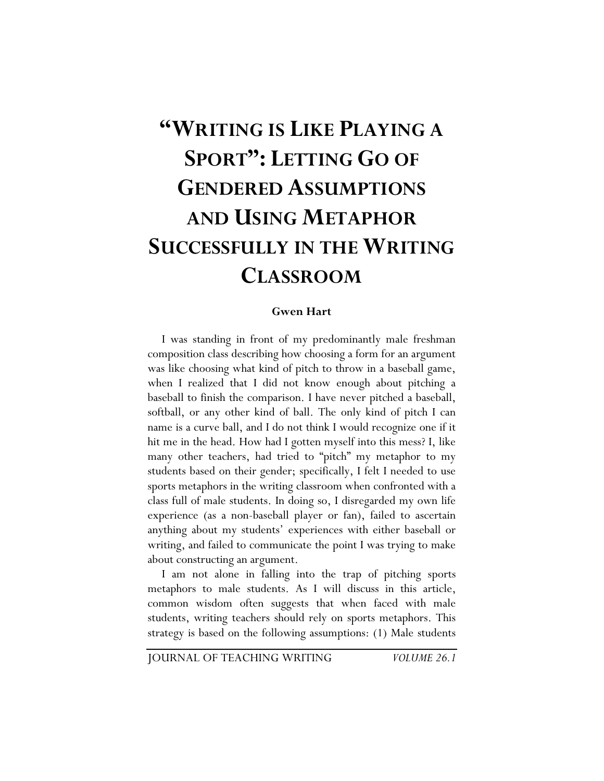# **"WRITING IS LIKE PLAYING A SPORT": LETTING GO OF GENDERED ASSUMPTIONS AND USING METAPHOR SUCCESSFULLY IN THE WRITING CLASSROOM**

#### **Gwen Hart**

I was standing in front of my predominantly male freshman composition class describing how choosing a form for an argument was like choosing what kind of pitch to throw in a baseball game, when I realized that I did not know enough about pitching a baseball to finish the comparison. I have never pitched a baseball, softball, or any other kind of ball. The only kind of pitch I can name is a curve ball, and I do not think I would recognize one if it hit me in the head. How had I gotten myself into this mess? I, like many other teachers, had tried to "pitch" my metaphor to my students based on their gender; specifically, I felt I needed to use sports metaphors in the writing classroom when confronted with a class full of male students. In doing so, I disregarded my own life experience (as a non-baseball player or fan), failed to ascertain anything about my students' experiences with either baseball or writing, and failed to communicate the point I was trying to make about constructing an argument.

I am not alone in falling into the trap of pitching sports metaphors to male students. As I will discuss in this article, common wisdom often suggests that when faced with male students, writing teachers should rely on sports metaphors. This strategy is based on the following assumptions: (1) Male students

JOURNAL OF TEACHING WRITING *VOLUME 26.1*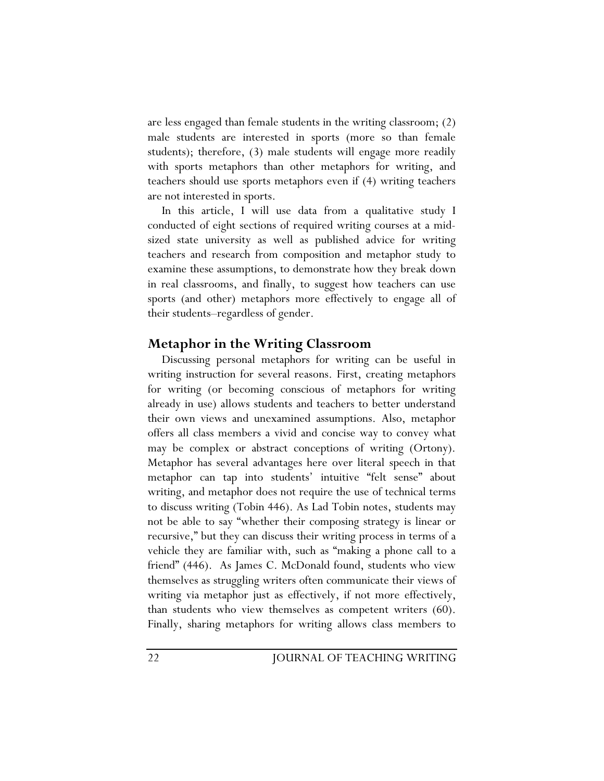are less engaged than female students in the writing classroom; (2) male students are interested in sports (more so than female students); therefore, (3) male students will engage more readily with sports metaphors than other metaphors for writing, and teachers should use sports metaphors even if (4) writing teachers are not interested in sports.

In this article, I will use data from a qualitative study I conducted of eight sections of required writing courses at a midsized state university as well as published advice for writing teachers and research from composition and metaphor study to examine these assumptions, to demonstrate how they break down in real classrooms, and finally, to suggest how teachers can use sports (and other) metaphors more effectively to engage all of their students–regardless of gender.

# **Metaphor in the Writing Classroom**

Discussing personal metaphors for writing can be useful in writing instruction for several reasons. First, creating metaphors for writing (or becoming conscious of metaphors for writing already in use) allows students and teachers to better understand their own views and unexamined assumptions. Also, metaphor offers all class members a vivid and concise way to convey what may be complex or abstract conceptions of writing (Ortony). Metaphor has several advantages here over literal speech in that metaphor can tap into students' intuitive "felt sense" about writing, and metaphor does not require the use of technical terms to discuss writing (Tobin 446). As Lad Tobin notes, students may not be able to say "whether their composing strategy is linear or recursive," but they can discuss their writing process in terms of a vehicle they are familiar with, such as "making a phone call to a friend" (446). As James C. McDonald found, students who view themselves as struggling writers often communicate their views of writing via metaphor just as effectively, if not more effectively, than students who view themselves as competent writers (60). Finally, sharing metaphors for writing allows class members to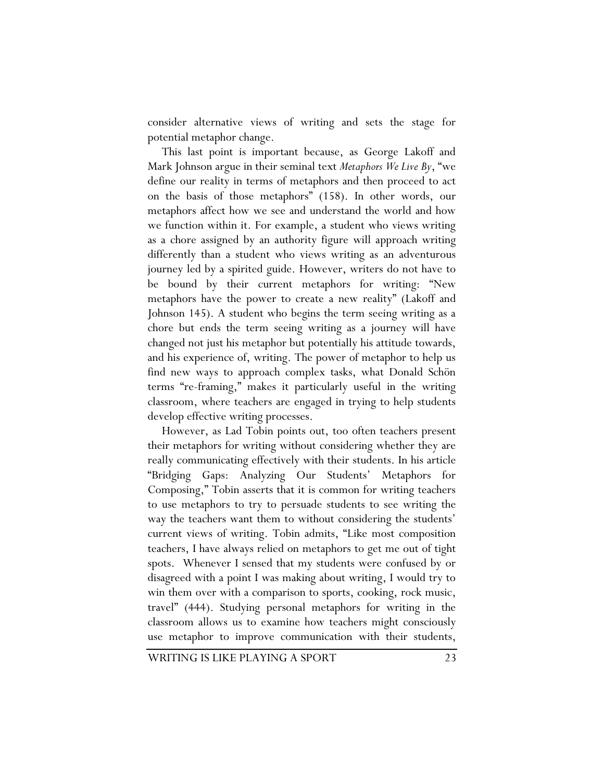consider alternative views of writing and sets the stage for potential metaphor change.

This last point is important because, as George Lakoff and Mark Johnson argue in their seminal text *Metaphors We Live By*, "we define our reality in terms of metaphors and then proceed to act on the basis of those metaphors" (158). In other words, our metaphors affect how we see and understand the world and how we function within it. For example, a student who views writing as a chore assigned by an authority figure will approach writing differently than a student who views writing as an adventurous journey led by a spirited guide. However, writers do not have to be bound by their current metaphors for writing: "New metaphors have the power to create a new reality" (Lakoff and Johnson 145). A student who begins the term seeing writing as a chore but ends the term seeing writing as a journey will have changed not just his metaphor but potentially his attitude towards, and his experience of, writing. The power of metaphor to help us find new ways to approach complex tasks, what Donald Schön terms "re-framing," makes it particularly useful in the writing classroom, where teachers are engaged in trying to help students develop effective writing processes.

However, as Lad Tobin points out, too often teachers present their metaphors for writing without considering whether they are really communicating effectively with their students. In his article "Bridging Gaps: Analyzing Our Students' Metaphors for Composing," Tobin asserts that it is common for writing teachers to use metaphors to try to persuade students to see writing the way the teachers want them to without considering the students' current views of writing. Tobin admits, "Like most composition teachers, I have always relied on metaphors to get me out of tight spots. Whenever I sensed that my students were confused by or disagreed with a point I was making about writing, I would try to win them over with a comparison to sports, cooking, rock music, travel" (444). Studying personal metaphors for writing in the classroom allows us to examine how teachers might consciously use metaphor to improve communication with their students,

WRITING IS LIKE PLAYING A SPORT 23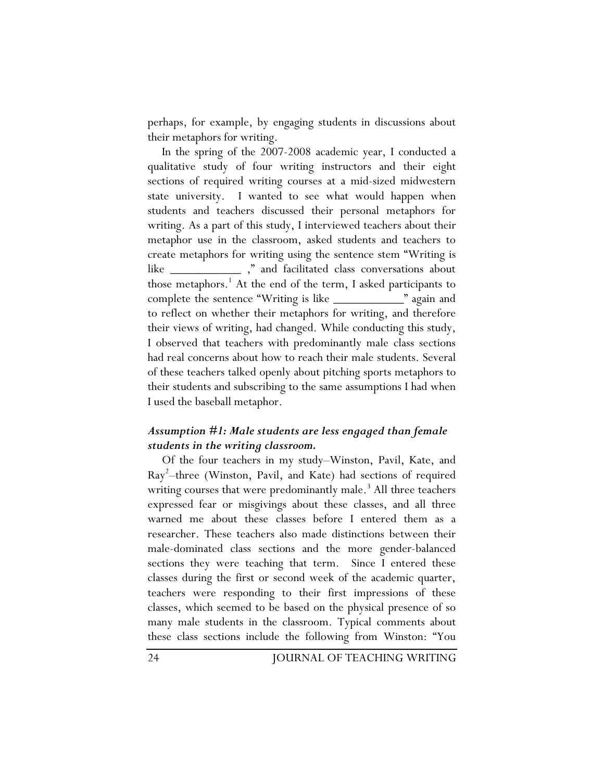perhaps, for example, by engaging students in discussions about their metaphors for writing.

In the spring of the 2007-2008 academic year, I conducted a qualitative study of four writing instructors and their eight sections of required writing courses at a mid-sized midwestern state university. I wanted to see what would happen when students and teachers discussed their personal metaphors for writing. As a part of this study, I interviewed teachers about their metaphor use in the classroom, asked students and teachers to create metaphors for writing using the sentence stem "Writing is like \_\_\_\_\_\_\_\_\_\_\_ ," and facilitated class conversations about those metaphors.<sup>1</sup> At the end of the term, I asked participants to complete the sentence "Writing is like \_\_\_\_\_\_\_\_\_\_\_" again and to reflect on whether their metaphors for writing, and therefore their views of writing, had changed. While conducting this study, I observed that teachers with predominantly male class sections had real concerns about how to reach their male students. Several of these teachers talked openly about pitching sports metaphors to their students and subscribing to the same assumptions I had when I used the baseball metaphor.

#### *Assumption #1: Male students are less engaged than female students in the writing classroom.*

Of the four teachers in my study–Winston, Pavil, Kate, and Ray<sup>2</sup> –three (Winston, Pavil, and Kate) had sections of required writing courses that were predominantly male.<sup>3</sup> All three teachers expressed fear or misgivings about these classes, and all three warned me about these classes before I entered them as a researcher. These teachers also made distinctions between their male-dominated class sections and the more gender-balanced sections they were teaching that term. Since I entered these classes during the first or second week of the academic quarter, teachers were responding to their first impressions of these classes, which seemed to be based on the physical presence of so many male students in the classroom. Typical comments about these class sections include the following from Winston: "You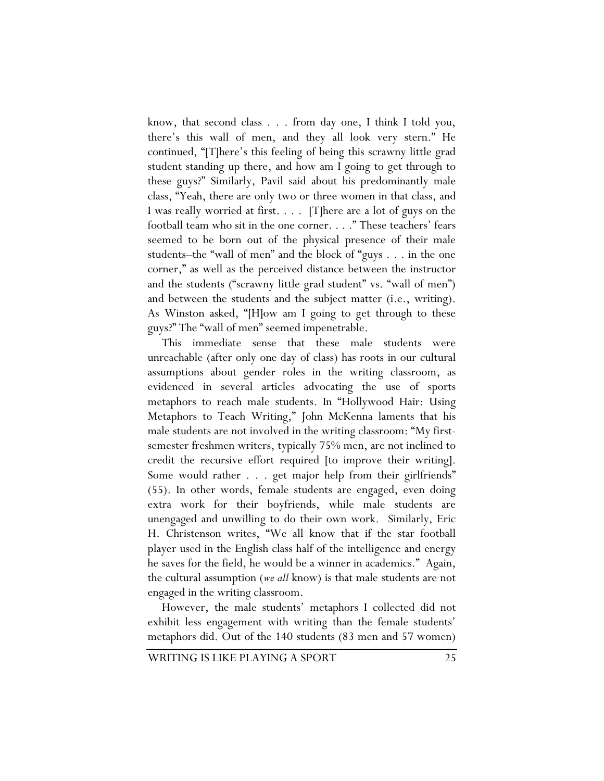know, that second class . . . from day one, I think I told you, there's this wall of men, and they all look very stern." He continued, "[T]here's this feeling of being this scrawny little grad student standing up there, and how am I going to get through to these guys?" Similarly, Pavil said about his predominantly male class, "Yeah, there are only two or three women in that class, and I was really worried at first. . . . [T]here are a lot of guys on the football team who sit in the one corner. . . ." These teachers' fears seemed to be born out of the physical presence of their male students–the "wall of men" and the block of "guys . . . in the one corner," as well as the perceived distance between the instructor and the students ("scrawny little grad student" vs. "wall of men") and between the students and the subject matter (i.e., writing). As Winston asked, "[H]ow am I going to get through to these guys?" The "wall of men" seemed impenetrable.

This immediate sense that these male students were unreachable (after only one day of class) has roots in our cultural assumptions about gender roles in the writing classroom, as evidenced in several articles advocating the use of sports metaphors to reach male students. In "Hollywood Hair: Using Metaphors to Teach Writing," John McKenna laments that his male students are not involved in the writing classroom: "My firstsemester freshmen writers, typically 75% men, are not inclined to credit the recursive effort required [to improve their writing]. Some would rather . . . get major help from their girlfriends" (55). In other words, female students are engaged, even doing extra work for their boyfriends, while male students are unengaged and unwilling to do their own work. Similarly, Eric H. Christenson writes, "We all know that if the star football player used in the English class half of the intelligence and energy he saves for the field, he would be a winner in academics." Again, the cultural assumption (*we all* know) is that male students are not engaged in the writing classroom.

However, the male students' metaphors I collected did not exhibit less engagement with writing than the female students' metaphors did. Out of the 140 students (83 men and 57 women)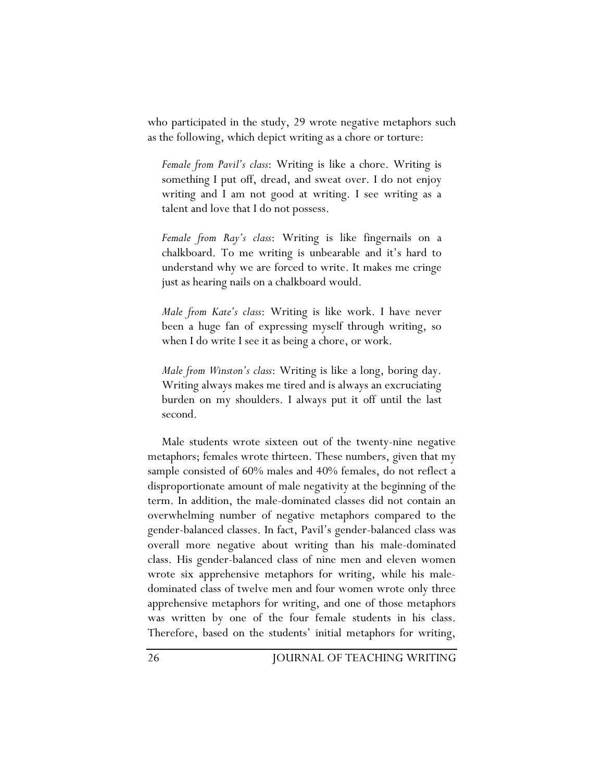who participated in the study, 29 wrote negative metaphors such as the following, which depict writing as a chore or torture:

*Female from Pavil's class*: Writing is like a chore. Writing is something I put off, dread, and sweat over. I do not enjoy writing and I am not good at writing. I see writing as a talent and love that I do not possess.

*Female from Ray's class*: Writing is like fingernails on a chalkboard. To me writing is unbearable and it's hard to understand why we are forced to write. It makes me cringe just as hearing nails on a chalkboard would.

*Male from Kate's class*: Writing is like work. I have never been a huge fan of expressing myself through writing, so when I do write I see it as being a chore, or work.

*Male from Winston's class*: Writing is like a long, boring day. Writing always makes me tired and is always an excruciating burden on my shoulders. I always put it off until the last second.

Male students wrote sixteen out of the twenty-nine negative metaphors; females wrote thirteen. These numbers, given that my sample consisted of 60% males and 40% females, do not reflect a disproportionate amount of male negativity at the beginning of the term. In addition, the male-dominated classes did not contain an overwhelming number of negative metaphors compared to the gender-balanced classes. In fact, Pavil's gender-balanced class was overall more negative about writing than his male-dominated class. His gender-balanced class of nine men and eleven women wrote six apprehensive metaphors for writing, while his maledominated class of twelve men and four women wrote only three apprehensive metaphors for writing, and one of those metaphors was written by one of the four female students in his class. Therefore, based on the students' initial metaphors for writing,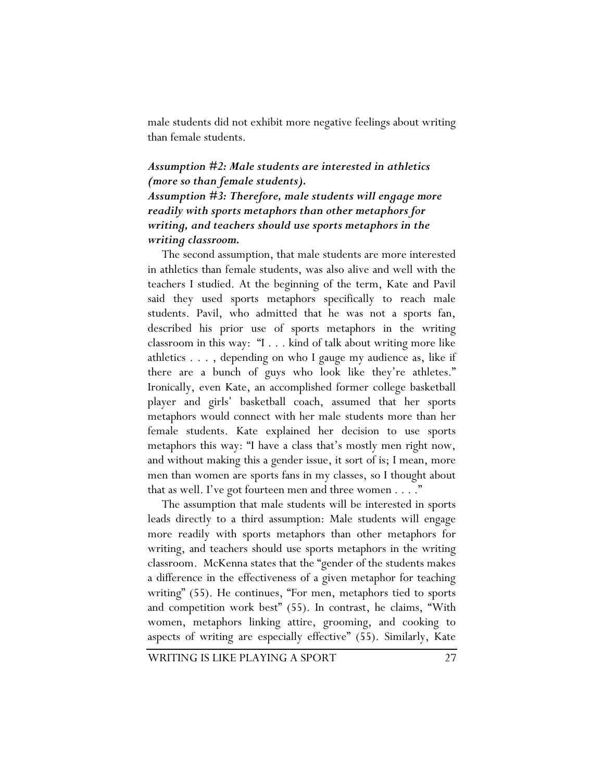male students did not exhibit more negative feelings about writing than female students.

## *Assumption #2: Male students are interested in athletics (more so than female students).*

*Assumption #3: Therefore, male students will engage more readily with sports metaphors than other metaphors for writing, and teachers should use sports metaphors in the writing classroom.* 

The second assumption, that male students are more interested in athletics than female students, was also alive and well with the teachers I studied. At the beginning of the term, Kate and Pavil said they used sports metaphors specifically to reach male students. Pavil, who admitted that he was not a sports fan, described his prior use of sports metaphors in the writing classroom in this way: "I . . . kind of talk about writing more like athletics . . . , depending on who I gauge my audience as, like if there are a bunch of guys who look like they're athletes." Ironically, even Kate, an accomplished former college basketball player and girls' basketball coach, assumed that her sports metaphors would connect with her male students more than her female students. Kate explained her decision to use sports metaphors this way: "I have a class that's mostly men right now, and without making this a gender issue, it sort of is; I mean, more men than women are sports fans in my classes, so I thought about that as well. I've got fourteen men and three women . . . ."

The assumption that male students will be interested in sports leads directly to a third assumption: Male students will engage more readily with sports metaphors than other metaphors for writing, and teachers should use sports metaphors in the writing classroom. McKenna states that the "gender of the students makes a difference in the effectiveness of a given metaphor for teaching writing" (55). He continues, "For men, metaphors tied to sports and competition work best" (55). In contrast, he claims, "With women, metaphors linking attire, grooming, and cooking to aspects of writing are especially effective" (55). Similarly, Kate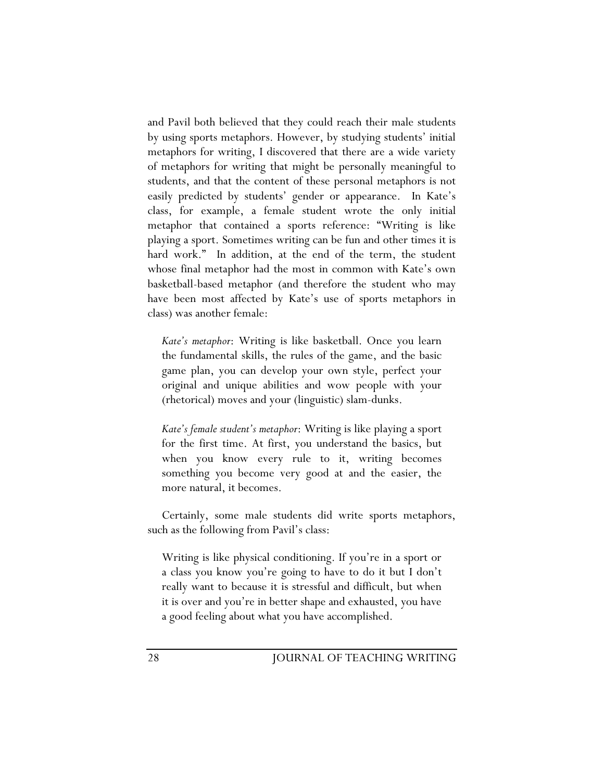and Pavil both believed that they could reach their male students by using sports metaphors. However, by studying students' initial metaphors for writing, I discovered that there are a wide variety of metaphors for writing that might be personally meaningful to students, and that the content of these personal metaphors is not easily predicted by students' gender or appearance. In Kate's class, for example, a female student wrote the only initial metaphor that contained a sports reference: "Writing is like playing a sport. Sometimes writing can be fun and other times it is hard work." In addition, at the end of the term, the student whose final metaphor had the most in common with Kate's own basketball-based metaphor (and therefore the student who may have been most affected by Kate's use of sports metaphors in class) was another female:

*Kate's metaphor*: Writing is like basketball. Once you learn the fundamental skills, the rules of the game, and the basic game plan, you can develop your own style, perfect your original and unique abilities and wow people with your (rhetorical) moves and your (linguistic) slam-dunks.

*Kate's female student's metaphor*: Writing is like playing a sport for the first time. At first, you understand the basics, but when you know every rule to it, writing becomes something you become very good at and the easier, the more natural, it becomes.

Certainly, some male students did write sports metaphors, such as the following from Pavil's class:

Writing is like physical conditioning. If you're in a sport or a class you know you're going to have to do it but I don't really want to because it is stressful and difficult, but when it is over and you're in better shape and exhausted, you have a good feeling about what you have accomplished.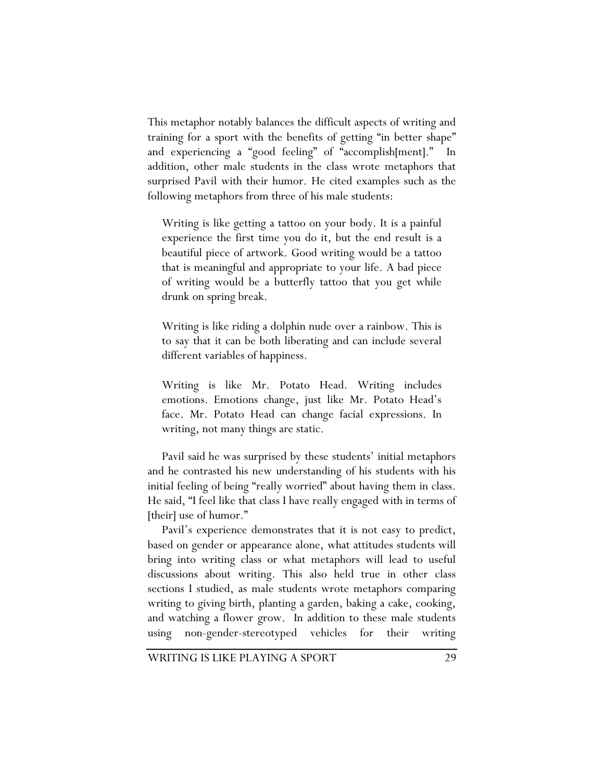This metaphor notably balances the difficult aspects of writing and training for a sport with the benefits of getting "in better shape" and experiencing a "good feeling" of "accomplish[ment]." In addition, other male students in the class wrote metaphors that surprised Pavil with their humor. He cited examples such as the following metaphors from three of his male students:

Writing is like getting a tattoo on your body. It is a painful experience the first time you do it, but the end result is a beautiful piece of artwork. Good writing would be a tattoo that is meaningful and appropriate to your life. A bad piece of writing would be a butterfly tattoo that you get while drunk on spring break.

Writing is like riding a dolphin nude over a rainbow. This is to say that it can be both liberating and can include several different variables of happiness.

Writing is like Mr. Potato Head. Writing includes emotions. Emotions change, just like Mr. Potato Head's face. Mr. Potato Head can change facial expressions. In writing, not many things are static.

Pavil said he was surprised by these students' initial metaphors and he contrasted his new understanding of his students with his initial feeling of being "really worried" about having them in class. He said, "I feel like that class I have really engaged with in terms of [their] use of humor."

Pavil's experience demonstrates that it is not easy to predict, based on gender or appearance alone, what attitudes students will bring into writing class or what metaphors will lead to useful discussions about writing. This also held true in other class sections I studied, as male students wrote metaphors comparing writing to giving birth, planting a garden, baking a cake, cooking, and watching a flower grow. In addition to these male students using non-gender-stereotyped vehicles for their writing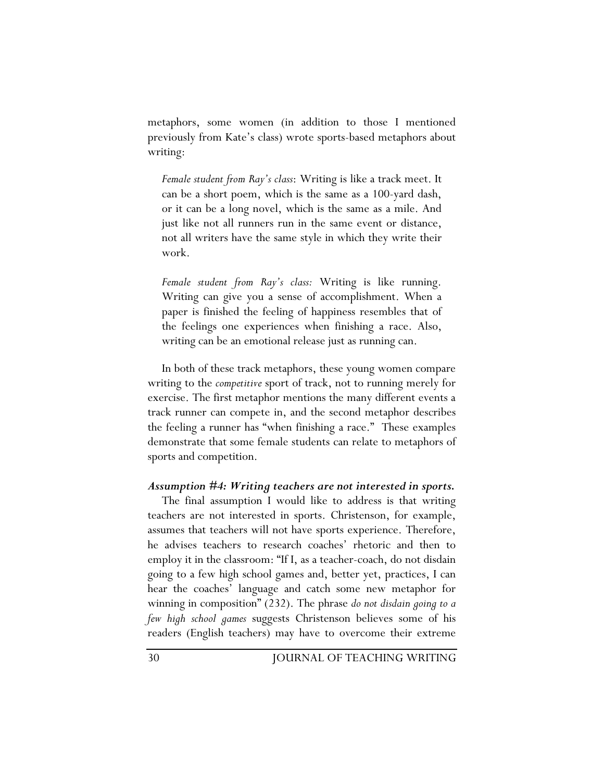metaphors, some women (in addition to those I mentioned previously from Kate's class) wrote sports-based metaphors about writing:

*Female student from Ray's class*: Writing is like a track meet. It can be a short poem, which is the same as a 100-yard dash, or it can be a long novel, which is the same as a mile. And just like not all runners run in the same event or distance, not all writers have the same style in which they write their work.

*Female student from Ray's class:* Writing is like running. Writing can give you a sense of accomplishment. When a paper is finished the feeling of happiness resembles that of the feelings one experiences when finishing a race. Also, writing can be an emotional release just as running can.

In both of these track metaphors, these young women compare writing to the *competitive* sport of track, not to running merely for exercise. The first metaphor mentions the many different events a track runner can compete in, and the second metaphor describes the feeling a runner has "when finishing a race." These examples demonstrate that some female students can relate to metaphors of sports and competition.

#### *Assumption #4: Writing teachers are not interested in sports.*

The final assumption I would like to address is that writing teachers are not interested in sports. Christenson, for example, assumes that teachers will not have sports experience. Therefore, he advises teachers to research coaches' rhetoric and then to employ it in the classroom: "If I, as a teacher-coach, do not disdain going to a few high school games and, better yet, practices, I can hear the coaches' language and catch some new metaphor for winning in composition" (232). The phrase *do not disdain going to a few high school games* suggests Christenson believes some of his readers (English teachers) may have to overcome their extreme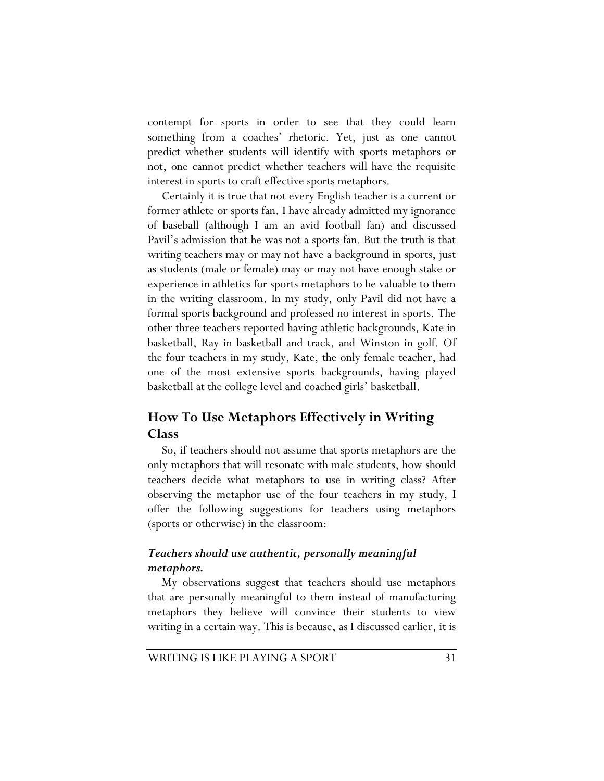contempt for sports in order to see that they could learn something from a coaches' rhetoric. Yet, just as one cannot predict whether students will identify with sports metaphors or not, one cannot predict whether teachers will have the requisite interest in sports to craft effective sports metaphors.

Certainly it is true that not every English teacher is a current or former athlete or sports fan. I have already admitted my ignorance of baseball (although I am an avid football fan) and discussed Pavil's admission that he was not a sports fan. But the truth is that writing teachers may or may not have a background in sports, just as students (male or female) may or may not have enough stake or experience in athletics for sports metaphors to be valuable to them in the writing classroom. In my study, only Pavil did not have a formal sports background and professed no interest in sports. The other three teachers reported having athletic backgrounds, Kate in basketball, Ray in basketball and track, and Winston in golf. Of the four teachers in my study, Kate, the only female teacher, had one of the most extensive sports backgrounds, having played basketball at the college level and coached girls' basketball.

# **How To Use Metaphors Effectively in Writing Class**

So, if teachers should not assume that sports metaphors are the only metaphors that will resonate with male students, how should teachers decide what metaphors to use in writing class? After observing the metaphor use of the four teachers in my study, I offer the following suggestions for teachers using metaphors (sports or otherwise) in the classroom:

# *Teachers should use authentic, personally meaningful metaphors.*

My observations suggest that teachers should use metaphors that are personally meaningful to them instead of manufacturing metaphors they believe will convince their students to view writing in a certain way. This is because, as I discussed earlier, it is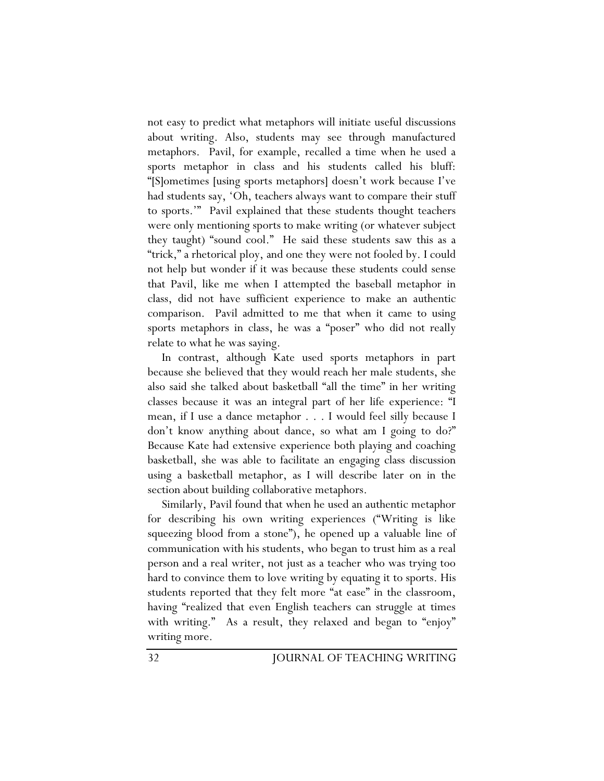not easy to predict what metaphors will initiate useful discussions about writing. Also, students may see through manufactured metaphors. Pavil, for example, recalled a time when he used a sports metaphor in class and his students called his bluff: "[S]ometimes [using sports metaphors] doesn't work because I've had students say, 'Oh, teachers always want to compare their stuff to sports.'" Pavil explained that these students thought teachers were only mentioning sports to make writing (or whatever subject they taught) "sound cool." He said these students saw this as a "trick," a rhetorical ploy, and one they were not fooled by. I could not help but wonder if it was because these students could sense that Pavil, like me when I attempted the baseball metaphor in class, did not have sufficient experience to make an authentic comparison. Pavil admitted to me that when it came to using sports metaphors in class, he was a "poser" who did not really relate to what he was saying.

In contrast, although Kate used sports metaphors in part because she believed that they would reach her male students, she also said she talked about basketball "all the time" in her writing classes because it was an integral part of her life experience: "I mean, if I use a dance metaphor . . . I would feel silly because I don't know anything about dance, so what am I going to do?" Because Kate had extensive experience both playing and coaching basketball, she was able to facilitate an engaging class discussion using a basketball metaphor, as I will describe later on in the section about building collaborative metaphors.

Similarly, Pavil found that when he used an authentic metaphor for describing his own writing experiences ("Writing is like squeezing blood from a stone"), he opened up a valuable line of communication with his students, who began to trust him as a real person and a real writer, not just as a teacher who was trying too hard to convince them to love writing by equating it to sports. His students reported that they felt more "at ease" in the classroom, having "realized that even English teachers can struggle at times with writing." As a result, they relaxed and began to "enjoy" writing more.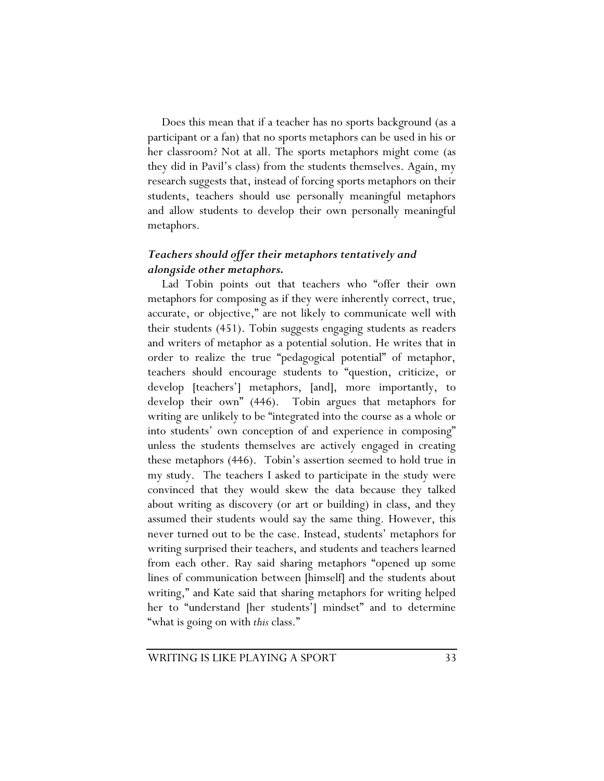Does this mean that if a teacher has no sports background (as a participant or a fan) that no sports metaphors can be used in his or her classroom? Not at all. The sports metaphors might come (as they did in Pavil's class) from the students themselves. Again, my research suggests that, instead of forcing sports metaphors on their students, teachers should use personally meaningful metaphors and allow students to develop their own personally meaningful metaphors.

# *Teachers should offer their metaphors tentatively and alongside other metaphors.*

Lad Tobin points out that teachers who "offer their own metaphors for composing as if they were inherently correct, true, accurate, or objective," are not likely to communicate well with their students (451). Tobin suggests engaging students as readers and writers of metaphor as a potential solution. He writes that in order to realize the true "pedagogical potential" of metaphor, teachers should encourage students to "question, criticize, or develop [teachers'] metaphors, [and], more importantly, to develop their own" (446). Tobin argues that metaphors for writing are unlikely to be "integrated into the course as a whole or into students' own conception of and experience in composing" unless the students themselves are actively engaged in creating these metaphors (446). Tobin's assertion seemed to hold true in my study. The teachers I asked to participate in the study were convinced that they would skew the data because they talked about writing as discovery (or art or building) in class, and they assumed their students would say the same thing. However, this never turned out to be the case. Instead, students' metaphors for writing surprised their teachers, and students and teachers learned from each other. Ray said sharing metaphors "opened up some lines of communication between [himself] and the students about writing," and Kate said that sharing metaphors for writing helped her to "understand [her students'] mindset" and to determine "what is going on with *this* class."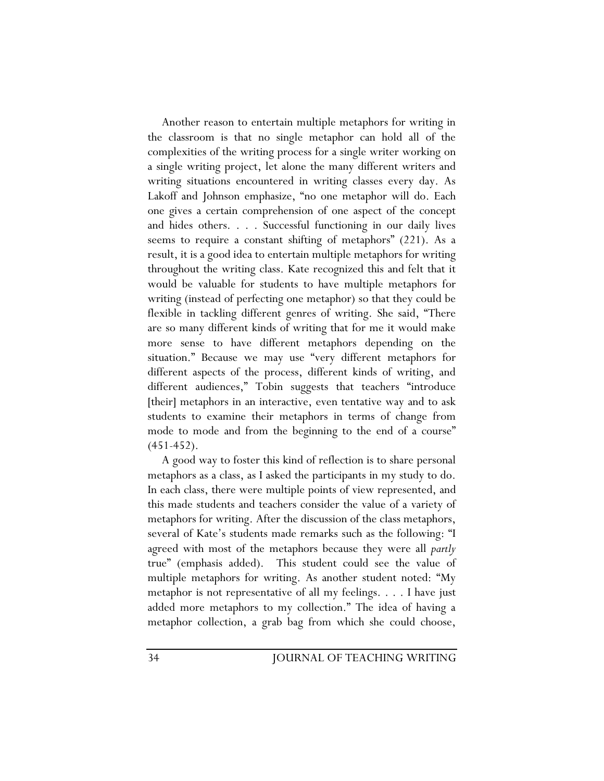Another reason to entertain multiple metaphors for writing in the classroom is that no single metaphor can hold all of the complexities of the writing process for a single writer working on a single writing project, let alone the many different writers and writing situations encountered in writing classes every day. As Lakoff and Johnson emphasize, "no one metaphor will do. Each one gives a certain comprehension of one aspect of the concept and hides others. . . . Successful functioning in our daily lives seems to require a constant shifting of metaphors" (221). As a result, it is a good idea to entertain multiple metaphors for writing throughout the writing class. Kate recognized this and felt that it would be valuable for students to have multiple metaphors for writing (instead of perfecting one metaphor) so that they could be flexible in tackling different genres of writing. She said, "There are so many different kinds of writing that for me it would make more sense to have different metaphors depending on the situation." Because we may use "very different metaphors for different aspects of the process, different kinds of writing, and different audiences," Tobin suggests that teachers "introduce [their] metaphors in an interactive, even tentative way and to ask students to examine their metaphors in terms of change from mode to mode and from the beginning to the end of a course"  $(451-452)$ .

A good way to foster this kind of reflection is to share personal metaphors as a class, as I asked the participants in my study to do. In each class, there were multiple points of view represented, and this made students and teachers consider the value of a variety of metaphors for writing. After the discussion of the class metaphors, several of Kate's students made remarks such as the following: "I agreed with most of the metaphors because they were all *partly* true" (emphasis added). This student could see the value of multiple metaphors for writing. As another student noted: "My metaphor is not representative of all my feelings. . . . I have just added more metaphors to my collection." The idea of having a metaphor collection, a grab bag from which she could choose,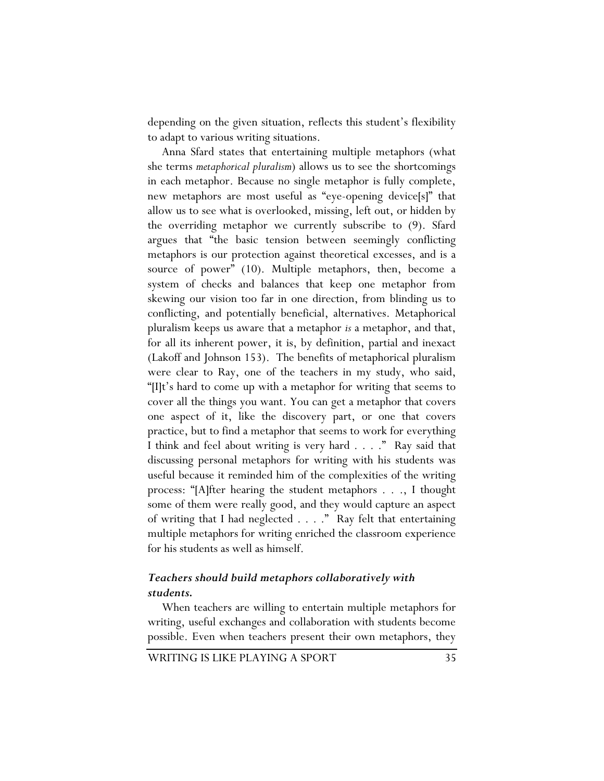depending on the given situation, reflects this student's flexibility to adapt to various writing situations.

Anna Sfard states that entertaining multiple metaphors (what she terms *metaphorical pluralism*) allows us to see the shortcomings in each metaphor. Because no single metaphor is fully complete, new metaphors are most useful as "eye-opening device[s]" that allow us to see what is overlooked, missing, left out, or hidden by the overriding metaphor we currently subscribe to (9). Sfard argues that "the basic tension between seemingly conflicting metaphors is our protection against theoretical excesses, and is a source of power" (10). Multiple metaphors, then, become a system of checks and balances that keep one metaphor from skewing our vision too far in one direction, from blinding us to conflicting, and potentially beneficial, alternatives. Metaphorical pluralism keeps us aware that a metaphor *is* a metaphor, and that, for all its inherent power, it is, by definition, partial and inexact (Lakoff and Johnson 153). The benefits of metaphorical pluralism were clear to Ray, one of the teachers in my study, who said, "[I]t's hard to come up with a metaphor for writing that seems to cover all the things you want. You can get a metaphor that covers one aspect of it, like the discovery part, or one that covers practice, but to find a metaphor that seems to work for everything I think and feel about writing is very hard . . . ." Ray said that discussing personal metaphors for writing with his students was useful because it reminded him of the complexities of the writing process: "[A]fter hearing the student metaphors . . ., I thought some of them were really good, and they would capture an aspect of writing that I had neglected . . . ." Ray felt that entertaining multiple metaphors for writing enriched the classroom experience for his students as well as himself.

## *Teachers should build metaphors collaboratively with students.*

When teachers are willing to entertain multiple metaphors for writing, useful exchanges and collaboration with students become possible. Even when teachers present their own metaphors, they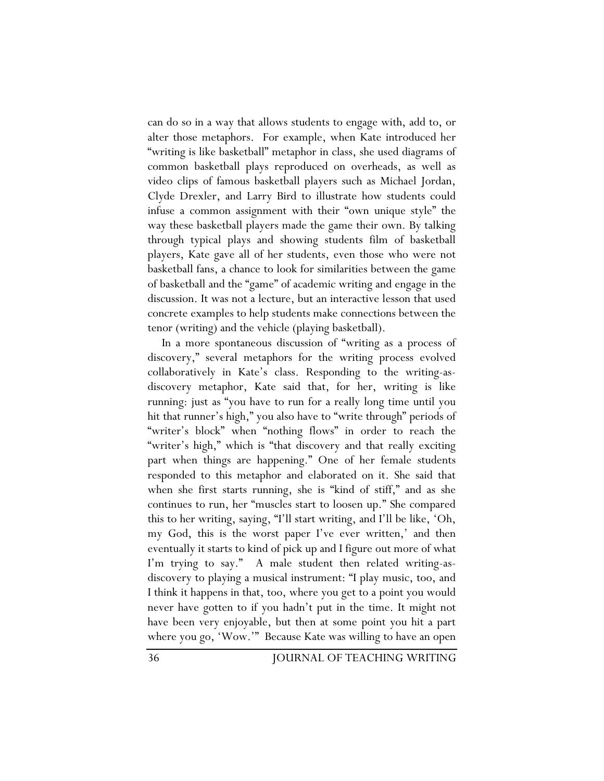can do so in a way that allows students to engage with, add to, or alter those metaphors. For example, when Kate introduced her "writing is like basketball" metaphor in class, she used diagrams of common basketball plays reproduced on overheads, as well as video clips of famous basketball players such as Michael Jordan, Clyde Drexler, and Larry Bird to illustrate how students could infuse a common assignment with their "own unique style" the way these basketball players made the game their own. By talking through typical plays and showing students film of basketball players, Kate gave all of her students, even those who were not basketball fans, a chance to look for similarities between the game of basketball and the "game" of academic writing and engage in the discussion. It was not a lecture, but an interactive lesson that used concrete examples to help students make connections between the tenor (writing) and the vehicle (playing basketball).

In a more spontaneous discussion of "writing as a process of discovery," several metaphors for the writing process evolved collaboratively in Kate's class. Responding to the writing-asdiscovery metaphor, Kate said that, for her, writing is like running: just as "you have to run for a really long time until you hit that runner's high," you also have to "write through" periods of "writer's block" when "nothing flows" in order to reach the "writer's high," which is "that discovery and that really exciting part when things are happening." One of her female students responded to this metaphor and elaborated on it. She said that when she first starts running, she is "kind of stiff," and as she continues to run, her "muscles start to loosen up." She compared this to her writing, saying, "I'll start writing, and I'll be like, 'Oh, my God, this is the worst paper I've ever written,' and then eventually it starts to kind of pick up and I figure out more of what I'm trying to say." A male student then related writing-asdiscovery to playing a musical instrument: "I play music, too, and I think it happens in that, too, where you get to a point you would never have gotten to if you hadn't put in the time. It might not have been very enjoyable, but then at some point you hit a part where you go, 'Wow.'" Because Kate was willing to have an open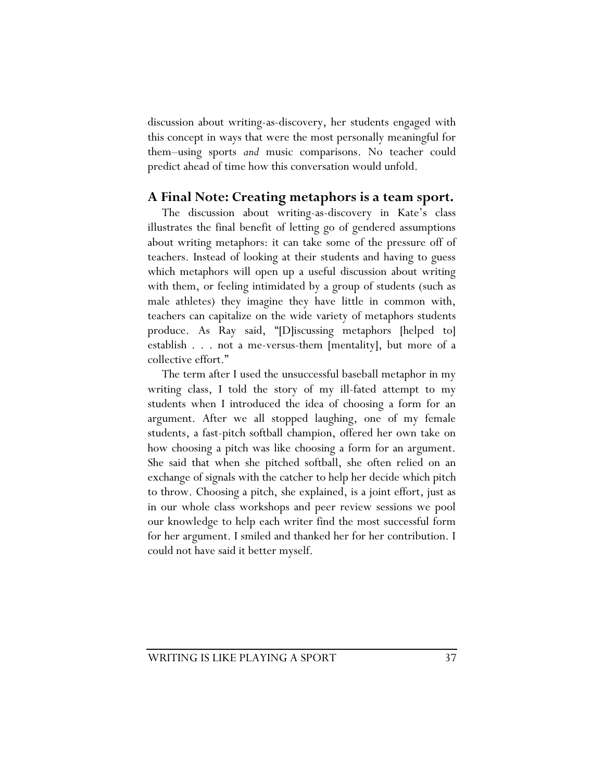discussion about writing-as-discovery, her students engaged with this concept in ways that were the most personally meaningful for them–using sports *and* music comparisons. No teacher could predict ahead of time how this conversation would unfold.

# **A Final Note: Creating metaphors is a team sport.**

The discussion about writing-as-discovery in Kate's class illustrates the final benefit of letting go of gendered assumptions about writing metaphors: it can take some of the pressure off of teachers. Instead of looking at their students and having to guess which metaphors will open up a useful discussion about writing with them, or feeling intimidated by a group of students (such as male athletes) they imagine they have little in common with, teachers can capitalize on the wide variety of metaphors students produce. As Ray said, "[D]iscussing metaphors [helped to] establish . . . not a me-versus-them [mentality], but more of a collective effort."

The term after I used the unsuccessful baseball metaphor in my writing class, I told the story of my ill-fated attempt to my students when I introduced the idea of choosing a form for an argument. After we all stopped laughing, one of my female students, a fast-pitch softball champion, offered her own take on how choosing a pitch was like choosing a form for an argument. She said that when she pitched softball, she often relied on an exchange of signals with the catcher to help her decide which pitch to throw. Choosing a pitch, she explained, is a joint effort, just as in our whole class workshops and peer review sessions we pool our knowledge to help each writer find the most successful form for her argument. I smiled and thanked her for her contribution. I could not have said it better myself.